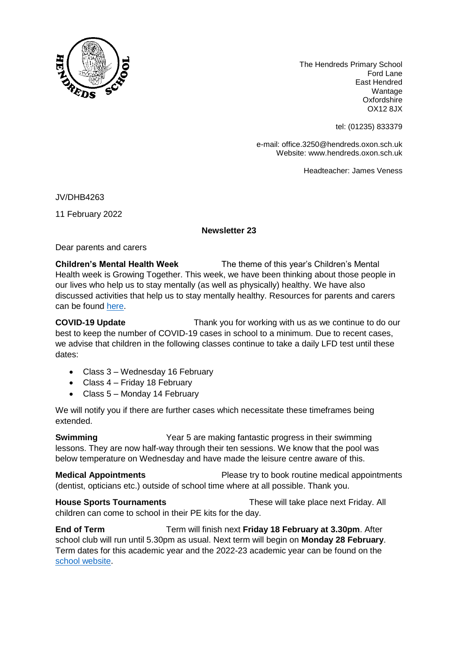

The Hendreds Primary School Ford Lane East Hendred Wantage Oxfordshire OX12 8JX

tel: (01235) 833379

e-mail: office.3250@hendreds.oxon.sch.uk Website: www.hendreds.oxon.sch.uk

Headteacher: James Veness

JV/DHB4263

11 February 2022

## **Newsletter 23**

Dear parents and carers

**Children's Mental Health Week** The theme of this year's Children's Mental Health week is Growing Together. This week, we have been thinking about those people in our lives who help us to stay mentally (as well as physically) healthy. We have also discussed activities that help us to stay mentally healthy. Resources for parents and carers can be found [here.](https://www.childrensmentalhealthweek.org.uk/parents-and-carers/)

**COVID-19 Update** Thank you for working with us as we continue to do our best to keep the number of COVID-19 cases in school to a minimum. Due to recent cases, we advise that children in the following classes continue to take a daily LFD test until these dates:

- Class 3 Wednesday 16 February
- Class 4 Friday 18 February
- Class 5 Monday 14 February

We will notify you if there are further cases which necessitate these timeframes being extended.

**Swimming** Year 5 are making fantastic progress in their swimming lessons. They are now half-way through their ten sessions. We know that the pool was below temperature on Wednesday and have made the leisure centre aware of this.

**Medical Appointments** Please try to book routine medical appointments (dentist, opticians etc.) outside of school time where at all possible. Thank you.

**House Sports Tournaments** These will take place next Friday. All children can come to school in their PE kits for the day.

**End of Term Term** will finish next **Friday 18 February at 3.30pm**. After school club will run until 5.30pm as usual. Next term will begin on **Monday 28 February**. Term dates for this academic year and the 2022-23 academic year can be found on the [school website.](https://hendreds.oxon.sch.uk/calendar/)